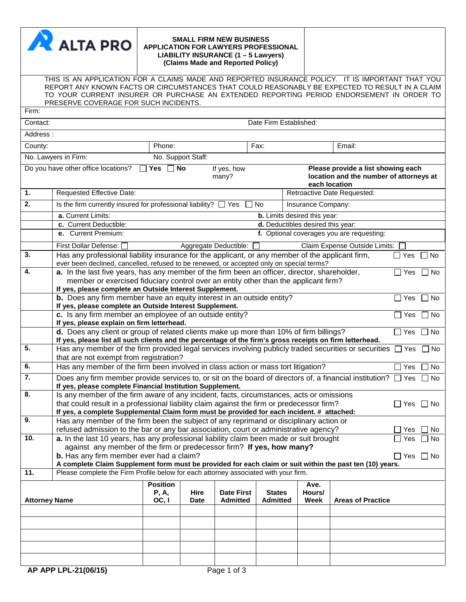|                      | <b>A</b> ALTA PRO                                                                                                                                                                                                                                                                              |                                            |                    | <b>SMALL FIRM NEW BUSINESS</b><br>APPLICATION FOR LAWYERS PROFESSIONAL<br>LIABILITY INSURANCE (1 - 5 Lawyers)<br>(Claims Made and Reported Policy) |                                   |                             |                                                                                                |                                           |            |           |
|----------------------|------------------------------------------------------------------------------------------------------------------------------------------------------------------------------------------------------------------------------------------------------------------------------------------------|--------------------------------------------|--------------------|----------------------------------------------------------------------------------------------------------------------------------------------------|-----------------------------------|-----------------------------|------------------------------------------------------------------------------------------------|-------------------------------------------|------------|-----------|
|                      | THIS IS AN APPLICATION FOR A CLAIMS MADE AND REPORTED INSURANCE POLICY. IT IS IMPORTANT THAT YOU<br>REPORT ANY KNOWN FACTS OR CIRCUMSTANCES THAT COULD REASONABLY BE EXPECTED TO RESULT IN A CLAIM<br>TO YOUR CURRENT INSURER OR PURCHASE AN EXTENDED REPORTING PERIOD ENDORSEMENT IN ORDER TO |                                            |                    |                                                                                                                                                    |                                   |                             |                                                                                                |                                           |            |           |
| Firm:                | PRESERVE COVERAGE FOR SUCH INCIDENTS.                                                                                                                                                                                                                                                          |                                            |                    |                                                                                                                                                    |                                   |                             |                                                                                                |                                           |            |           |
| Contact:             |                                                                                                                                                                                                                                                                                                |                                            |                    |                                                                                                                                                    | Date Firm Established:            |                             |                                                                                                |                                           |            |           |
| Address:             |                                                                                                                                                                                                                                                                                                |                                            |                    |                                                                                                                                                    |                                   |                             |                                                                                                |                                           |            |           |
| County:              |                                                                                                                                                                                                                                                                                                | Phone:                                     |                    |                                                                                                                                                    | Fax:                              |                             |                                                                                                | Email:                                    |            |           |
|                      | No. Lawyers in Firm:                                                                                                                                                                                                                                                                           |                                            | No. Support Staff: |                                                                                                                                                    |                                   |                             |                                                                                                |                                           |            |           |
|                      | Do you have other office locations?                                                                                                                                                                                                                                                            | $\Box$ No<br>Π Yes<br>If yes, how<br>many? |                    |                                                                                                                                                    |                                   |                             | Please provide a list showing each<br>location and the number of attorneys at<br>each location |                                           |            |           |
| 1.                   | <b>Requested Effective Date:</b>                                                                                                                                                                                                                                                               |                                            |                    |                                                                                                                                                    |                                   | Retroactive Date Requested: |                                                                                                |                                           |            |           |
| $\overline{2}$ .     | Is the firm currently insured for professional liability? $\square$                                                                                                                                                                                                                            |                                            |                    | Yes                                                                                                                                                | No                                |                             | Insurance Company:                                                                             |                                           |            |           |
|                      | a. Current Limits:                                                                                                                                                                                                                                                                             |                                            |                    |                                                                                                                                                    | b. Limits desired this year:      |                             |                                                                                                |                                           |            |           |
|                      | c. Current Deductible:                                                                                                                                                                                                                                                                         |                                            |                    |                                                                                                                                                    | d. Deductibles desired this year: |                             |                                                                                                |                                           |            |           |
|                      | e. Current Premium:                                                                                                                                                                                                                                                                            |                                            |                    |                                                                                                                                                    |                                   |                             |                                                                                                | f. Optional coverages you are requesting: |            |           |
| $\overline{3}$ .     | First Dollar Defense: [<br>Has any professional liability insurance for the applicant, or any member of the applicant firm,                                                                                                                                                                    |                                            |                    | Aggregate Deductible:                                                                                                                              |                                   |                             |                                                                                                | Claim Expense Outside Limits:             | $\Box$ Yes | $\Box$ No |
|                      | ever been declined, cancelled, refused to be renewed, or accepted only on special terms?                                                                                                                                                                                                       |                                            |                    |                                                                                                                                                    |                                   |                             |                                                                                                |                                           |            |           |
| 4.                   | a. In the last five years, has any member of the firm been an officer, director, shareholder,                                                                                                                                                                                                  |                                            |                    |                                                                                                                                                    |                                   |                             |                                                                                                |                                           | $\Box$ Yes | $\Box$ No |
|                      | member or exercised fiduciary control over an entity other than the applicant firm?<br>If yes, please complete an Outside Interest Supplement.                                                                                                                                                 |                                            |                    |                                                                                                                                                    |                                   |                             |                                                                                                |                                           |            |           |
|                      | b. Does any firm member have an equity interest in an outside entity?<br>No<br>$\Box$ Yes                                                                                                                                                                                                      |                                            |                    |                                                                                                                                                    |                                   |                             |                                                                                                |                                           |            |           |
|                      | If yes, please complete an Outside Interest Supplement.<br>c. Is any firm member an employee of an outside entity?<br>$\Box$ Yes<br>∏ No                                                                                                                                                       |                                            |                    |                                                                                                                                                    |                                   |                             |                                                                                                |                                           |            |           |
|                      | If yes, please explain on firm letterhead.<br>d. Does any client or group of related clients make up more than 10% of firm billings?<br>$\Box$ Yes                                                                                                                                             |                                            |                    |                                                                                                                                                    |                                   |                             |                                                                                                |                                           | $\Box$ No  |           |
|                      | If yes, please list all such clients and the percentage of the firm's gross receipts on firm letterhead.                                                                                                                                                                                       |                                            |                    |                                                                                                                                                    |                                   |                             |                                                                                                |                                           |            |           |
| $\overline{5}$ .     | Has any member of the firm provided legal services involving publicly traded securities or securities<br>$\Box$ Yes<br>$\Box$ No<br>that are not exempt from registration?                                                                                                                     |                                            |                    |                                                                                                                                                    |                                   |                             |                                                                                                |                                           |            |           |
| 6.                   | Has any member of the firm been involved in class action or mass tort litigation?<br>$\Box$ Yes                                                                                                                                                                                                |                                            |                    |                                                                                                                                                    |                                   |                             |                                                                                                | $\Box$ No                                 |            |           |
| $\overline{7}$ .     | Does any firm member provide services to, or sit on the board of directors of, a financial institution? $\Box$ Yes $\Box$ No<br>If yes, please complete Financial Institution Supplement.                                                                                                      |                                            |                    |                                                                                                                                                    |                                   |                             |                                                                                                |                                           |            |           |
| $\overline{8}$ .     | Is any member of the firm aware of any incident, facts, circumstances, acts or omissions                                                                                                                                                                                                       |                                            |                    |                                                                                                                                                    |                                   |                             |                                                                                                |                                           |            |           |
|                      | that could result in a professional liability claim against the firm or predecessor firm?<br>$\Box$ Yes $\Box$ No<br>If yes, a complete Supplemental Claim form must be provided for each incident. # attached:                                                                                |                                            |                    |                                                                                                                                                    |                                   |                             |                                                                                                |                                           |            |           |
| 9.                   | Has any member of the firm been the subject of any reprimand or disciplinary action or                                                                                                                                                                                                         |                                            |                    |                                                                                                                                                    |                                   |                             |                                                                                                |                                           |            |           |
|                      | refused admission to the bar or any bar association, court or administrative agency?<br>Yes                                                                                                                                                                                                    |                                            |                    |                                                                                                                                                    |                                   |                             |                                                                                                | No                                        |            |           |
| 10.                  | a. In the last 10 years, has any professional liability claim been made or suit brought<br>Yes<br>No<br>against any member of the firm or predecessor firm? If yes, how many?                                                                                                                  |                                            |                    |                                                                                                                                                    |                                   |                             |                                                                                                |                                           |            |           |
|                      | b. Has any firm member ever had a claim?<br>$\Box$ Yes $\Box$ No                                                                                                                                                                                                                               |                                            |                    |                                                                                                                                                    |                                   |                             |                                                                                                |                                           |            |           |
| 11.                  | A complete Claim Supplement form must be provided for each claim or suit within the past ten (10) years.<br>Please complete the Firm Profile below for each attorney associated with your firm.                                                                                                |                                            |                    |                                                                                                                                                    |                                   |                             |                                                                                                |                                           |            |           |
|                      |                                                                                                                                                                                                                                                                                                |                                            |                    |                                                                                                                                                    |                                   |                             |                                                                                                |                                           |            |           |
|                      |                                                                                                                                                                                                                                                                                                | <b>Position</b><br><b>P, A,</b>            | Hire               | <b>Date First</b>                                                                                                                                  | <b>States</b>                     |                             | Ave.<br>Hours/                                                                                 |                                           |            |           |
| <b>Attorney Name</b> |                                                                                                                                                                                                                                                                                                | OC, I                                      | <b>Date</b>        | <b>Admitted</b>                                                                                                                                    | <b>Admitted</b>                   |                             | Week                                                                                           | <b>Areas of Practice</b>                  |            |           |
|                      |                                                                                                                                                                                                                                                                                                |                                            |                    |                                                                                                                                                    |                                   |                             |                                                                                                |                                           |            |           |
|                      |                                                                                                                                                                                                                                                                                                |                                            |                    |                                                                                                                                                    |                                   |                             |                                                                                                |                                           |            |           |
|                      |                                                                                                                                                                                                                                                                                                |                                            |                    |                                                                                                                                                    |                                   |                             |                                                                                                |                                           |            |           |
|                      |                                                                                                                                                                                                                                                                                                |                                            |                    |                                                                                                                                                    |                                   |                             |                                                                                                |                                           |            |           |
|                      |                                                                                                                                                                                                                                                                                                |                                            |                    |                                                                                                                                                    |                                   |                             |                                                                                                |                                           |            |           |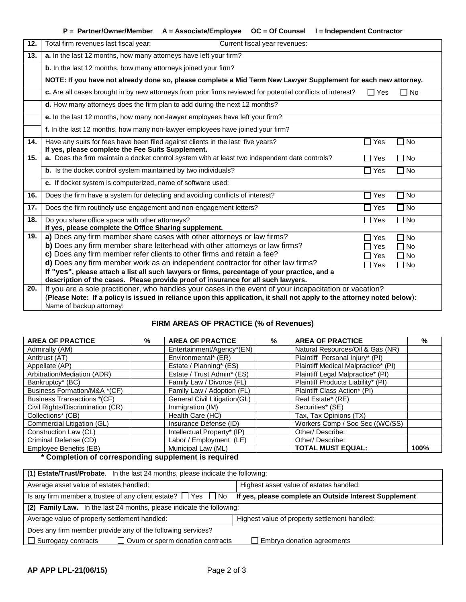| Total firm revenues last fiscal year:<br>Current fiscal year revenues:                                                               |                                                                                                                                                                                                                                                                                                                                                                                                                                                          |                                                                                                                                                                                                                                    |  |  |  |  |  |
|--------------------------------------------------------------------------------------------------------------------------------------|----------------------------------------------------------------------------------------------------------------------------------------------------------------------------------------------------------------------------------------------------------------------------------------------------------------------------------------------------------------------------------------------------------------------------------------------------------|------------------------------------------------------------------------------------------------------------------------------------------------------------------------------------------------------------------------------------|--|--|--|--|--|
| a. In the last 12 months, how many attorneys have left your firm?                                                                    |                                                                                                                                                                                                                                                                                                                                                                                                                                                          |                                                                                                                                                                                                                                    |  |  |  |  |  |
| b. In the last 12 months, how many attorneys joined your firm?                                                                       |                                                                                                                                                                                                                                                                                                                                                                                                                                                          |                                                                                                                                                                                                                                    |  |  |  |  |  |
| NOTE: If you have not already done so, please complete a Mid Term New Lawyer Supplement for each new attorney.                       |                                                                                                                                                                                                                                                                                                                                                                                                                                                          |                                                                                                                                                                                                                                    |  |  |  |  |  |
| c. Are all cases brought in by new attorneys from prior firms reviewed for potential conflicts of interest?                          | $\Box$ Yes                                                                                                                                                                                                                                                                                                                                                                                                                                               | No                                                                                                                                                                                                                                 |  |  |  |  |  |
| d. How many attorneys does the firm plan to add during the next 12 months?                                                           |                                                                                                                                                                                                                                                                                                                                                                                                                                                          |                                                                                                                                                                                                                                    |  |  |  |  |  |
| e. In the last 12 months, how many non-lawyer employees have left your firm?                                                         |                                                                                                                                                                                                                                                                                                                                                                                                                                                          |                                                                                                                                                                                                                                    |  |  |  |  |  |
| f. In the last 12 months, how many non-lawyer employees have joined your firm?                                                       |                                                                                                                                                                                                                                                                                                                                                                                                                                                          |                                                                                                                                                                                                                                    |  |  |  |  |  |
| Have any suits for fees have been filed against clients in the last five years?<br>If yes, please complete the Fee Suits Supplement. | П<br>Yes                                                                                                                                                                                                                                                                                                                                                                                                                                                 | 1 No                                                                                                                                                                                                                               |  |  |  |  |  |
| a. Does the firm maintain a docket control system with at least two independent date controls?                                       | $\Box$ Yes                                                                                                                                                                                                                                                                                                                                                                                                                                               | $\Box$ No                                                                                                                                                                                                                          |  |  |  |  |  |
| b. Is the docket control system maintained by two individuals?                                                                       | $\Box$ Yes                                                                                                                                                                                                                                                                                                                                                                                                                                               | $\Box$ No                                                                                                                                                                                                                          |  |  |  |  |  |
| c. If docket system is computerized, name of software used:                                                                          |                                                                                                                                                                                                                                                                                                                                                                                                                                                          |                                                                                                                                                                                                                                    |  |  |  |  |  |
| Does the firm have a system for detecting and avoiding conflicts of interest?                                                        | $\Box$ Yes                                                                                                                                                                                                                                                                                                                                                                                                                                               | $\Box$ No                                                                                                                                                                                                                          |  |  |  |  |  |
| Does the firm routinely use engagement and non-engagement letters?                                                                   | $\Box$ Yes                                                                                                                                                                                                                                                                                                                                                                                                                                               | $\Box$ No                                                                                                                                                                                                                          |  |  |  |  |  |
| Do you share office space with other attorneys?<br>If yes, please complete the Office Sharing supplement.                            | $\square$ Yes                                                                                                                                                                                                                                                                                                                                                                                                                                            | $\sqcap$ No                                                                                                                                                                                                                        |  |  |  |  |  |
| a) Does any firm member share cases with other attorneys or law firms?                                                               | $\Box$ Yes                                                                                                                                                                                                                                                                                                                                                                                                                                               | $\Box$ No                                                                                                                                                                                                                          |  |  |  |  |  |
|                                                                                                                                      | ヿ Yes                                                                                                                                                                                                                                                                                                                                                                                                                                                    | $\Box$ No                                                                                                                                                                                                                          |  |  |  |  |  |
|                                                                                                                                      | □ Yes                                                                                                                                                                                                                                                                                                                                                                                                                                                    | $\Box$ No                                                                                                                                                                                                                          |  |  |  |  |  |
|                                                                                                                                      | $\Box$ Yes                                                                                                                                                                                                                                                                                                                                                                                                                                               | $\Box$ No                                                                                                                                                                                                                          |  |  |  |  |  |
|                                                                                                                                      |                                                                                                                                                                                                                                                                                                                                                                                                                                                          |                                                                                                                                                                                                                                    |  |  |  |  |  |
|                                                                                                                                      |                                                                                                                                                                                                                                                                                                                                                                                                                                                          |                                                                                                                                                                                                                                    |  |  |  |  |  |
|                                                                                                                                      |                                                                                                                                                                                                                                                                                                                                                                                                                                                          |                                                                                                                                                                                                                                    |  |  |  |  |  |
|                                                                                                                                      |                                                                                                                                                                                                                                                                                                                                                                                                                                                          |                                                                                                                                                                                                                                    |  |  |  |  |  |
|                                                                                                                                      | b) Does any firm member share letterhead with other attorneys or law firms?<br>c) Does any firm member refer clients to other firms and retain a fee?<br>d) Does any firm member work as an independent contractor for other law firms?<br>If "yes", please attach a list all such lawyers or firms, percentage of your practice, and a<br>description of the cases. Please provide proof of insurance for all such lawyers.<br>Name of backup attorney: | If you are a sole practitioner, who handles your cases in the event of your incapacitation or vacation?<br>(Please Note: If a policy is issued in reliance upon this application, it shall not apply to the attorney noted below): |  |  |  |  |  |

# **FIRM AREAS OF PRACTICE (% of Revenues)**

| <b>AREA OF PRACTICE</b>            | % | <b>AREA OF PRACTICE</b>      | $\%$ | <b>AREA OF PRACTICE</b>             | %    |
|------------------------------------|---|------------------------------|------|-------------------------------------|------|
| Admiralty (AM)                     |   | Entertainment/Agency*(EN)    |      | Natural Resources/Oil & Gas (NR)    |      |
| Antitrust (AT)                     |   | Environmental* (ER)          |      | Plaintiff Personal Injury* (PI)     |      |
| Appellate (AP)                     |   | Estate / Planning* (ES)      |      | Plaintiff Medical Malpractice* (PI) |      |
| Arbitration/Mediation (ADR)        |   | Estate / Trust Admin* (ES)   |      | Plaintiff Legal Malpractice* (PI)   |      |
| Bankruptcy* (BC)                   |   | Family Law / Divorce (FL)    |      | Plaintiff Products Liability* (PI)  |      |
| Business Formation/M&A *(CF)       |   | Family Law / Adoption (FL)   |      | Plaintiff Class Action* (PI)        |      |
| <b>Business Transactions *(CF)</b> |   | General Civil Litigation(GL) |      | Real Estate* (RE)                   |      |
| Civil Rights/Discrimination (CR)   |   | Immigration (IM)             |      | Securities* (SE)                    |      |
| Collections* (CB)                  |   | Health Care (HC)             |      | Tax, Tax Opinions (TX)              |      |
| Commercial Litigation (GL)         |   | Insurance Defense (ID)       |      | Workers Comp / Soc Sec ((WC/SS)     |      |
| Construction Law (CL)              |   | Intellectual Property* (IP)  |      | Other/Describe:                     |      |
| Criminal Defense (CD)              |   | Labor / Employment (LE)      |      | Other/Describe:                     |      |
| Employee Benefits (EB)             |   | Municipal Law (ML)           |      | <b>TOTAL MUST EQUAL:</b>            | 100% |

**\* Completion of corresponding supplement is required**

| (1) Estate/Trust/Probate. In the last 24 months, please indicate the following:                                                   |                                               |  |  |  |  |  |
|-----------------------------------------------------------------------------------------------------------------------------------|-----------------------------------------------|--|--|--|--|--|
| Average asset value of estates handled:                                                                                           | Highest asset value of estates handled:       |  |  |  |  |  |
| Is any firm member a trustee of any client estate? $\Box$ Yes $\Box$ No<br>If yes, please complete an Outside Interest Supplement |                                               |  |  |  |  |  |
| (2) Family Law. In the last 24 months, please indicate the following:                                                             |                                               |  |  |  |  |  |
| Average value of property settlement handled:                                                                                     | Highest value of property settlement handled: |  |  |  |  |  |
| Does any firm member provide any of the following services?                                                                       |                                               |  |  |  |  |  |
| $\Box$ Ovum or sperm donation contracts<br>$\Box$ Embryo donation agreements<br>$\Box$ Surrogacy contracts                        |                                               |  |  |  |  |  |